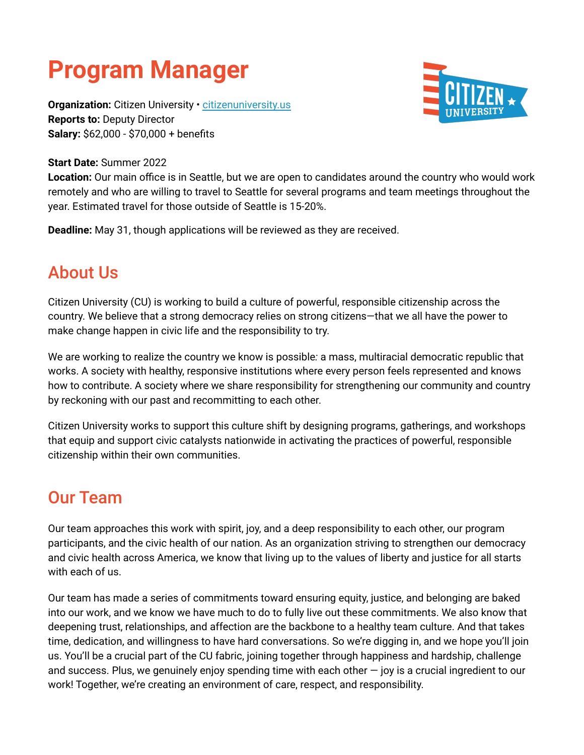# **Program Manager**

Organization: Citizen University · [citizenuniversity.us](https://citizenuniversity.us/) **Reports to:** Deputy Director **Salary:** \$62,000 - \$70,000 + benefits

#### **Start Date:** Summer 2022

**Location:** Our main office is in Seattle, but we are open to candidates around the country who would work remotely and who are willing to travel to Seattle for several programs and team meetings throughout the year. Estimated travel for those outside of Seattle is 15-20%.

**Deadline:** May 31, though applications will be reviewed as they are received.

### About Us

Citizen University (CU) is working to build a culture of powerful, responsible citizenship across the country. We believe that a strong democracy relies on strong citizens—that we all have the power to make change happen in civic life and the responsibility to try.

We are working to realize the country we know is possible*:* a mass, multiracial democratic republic that works. A society with healthy, responsive institutions where every person feels represented and knows how to contribute. A society where we share responsibility for strengthening our community and country by reckoning with our past and recommitting to each other.

Citizen University works to support this culture shift by designing programs, gatherings, and workshops that equip and support civic catalysts nationwide in activating the practices of powerful, responsible citizenship within their own communities.

### Our Team

Our team approaches this work with spirit, joy, and a deep responsibility to each other, our program participants, and the civic health of our nation. As an organization striving to strengthen our democracy and civic health across America, we know that living up to the values of liberty and justice for all starts with each of us.

Our team has made a series of commitments toward ensuring equity, justice, and belonging are baked into our work, and we know we have much to do to fully live out these commitments. We also know that deepening trust, relationships, and affection are the backbone to a healthy team culture. And that takes time, dedication, and willingness to have hard conversations. So we're digging in, and we hope you'll join us. You'll be a crucial part of the CU fabric, joining together through happiness and hardship, challenge and success. Plus, we genuinely enjoy spending time with each other  $-$  joy is a crucial ingredient to our work! Together, we're creating an environment of care, respect, and responsibility.

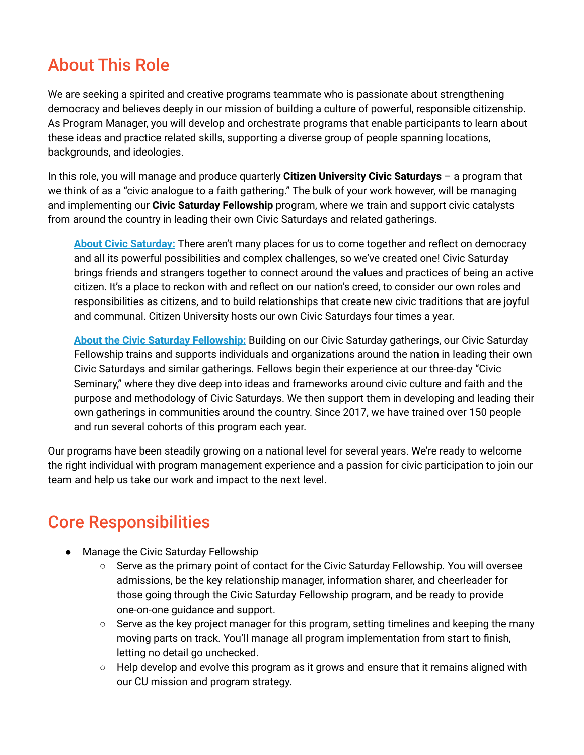### About This Role

We are seeking a spirited and creative programs teammate who is passionate about strengthening democracy and believes deeply in our mission of building a culture of powerful, responsible citizenship. As Program Manager, you will develop and orchestrate programs that enable participants to learn about these ideas and practice related skills, supporting a diverse group of people spanning locations, backgrounds, and ideologies.

In this role, you will manage and produce quarterly **Citizen University Civic Saturdays** – a program that we think of as a "civic analogue to a faith gathering." The bulk of your work however, will be managing and implementing our **Civic Saturday Fellowship** program, where we train and support civic catalysts from around the country in leading their own Civic Saturdays and related gatherings.

**About Civic [Saturday:](https://citizenuniversity.us/participate/civic-saturday/)** There aren't many places for us to come together and reflect on democracy and all its powerful possibilities and complex challenges, so we've created one! Civic Saturday brings friends and strangers together to connect around the values and practices of being an active citizen. It's a place to reckon with and reflect on our nation's creed, to consider our own roles and responsibilities as citizens, and to build relationships that create new civic traditions that are joyful and communal. Citizen University hosts our own Civic Saturdays four times a year.

**About the Civic Saturday [Fellowship:](https://citizenuniversity.us/programs/civic-saturday-fellowship/)** Building on our Civic Saturday gatherings, our Civic Saturday Fellowship trains and supports individuals and organizations around the nation in leading their own Civic Saturdays and similar gatherings. Fellows begin their experience at our three-day "Civic Seminary," where they dive deep into ideas and frameworks around civic culture and faith and the purpose and methodology of Civic Saturdays. We then support them in developing and leading their own gatherings in communities around the country. Since 2017, we have trained over 150 people and run several cohorts of this program each year.

Our programs have been steadily growing on a national level for several years. We're ready to welcome the right individual with program management experience and a passion for civic participation to join our team and help us take our work and impact to the next level.

### Core Responsibilities

- Manage the Civic Saturday Fellowship
	- Serve as the primary point of contact for the Civic Saturday Fellowship. You will oversee admissions, be the key relationship manager, information sharer, and cheerleader for those going through the Civic Saturday Fellowship program, and be ready to provide one-on-one guidance and support.
	- Serve as the key project manager for this program, setting timelines and keeping the many moving parts on track. You'll manage all program implementation from start to finish, letting no detail go unchecked.
	- $\circ$  Help develop and evolve this program as it grows and ensure that it remains aligned with our CU mission and program strategy.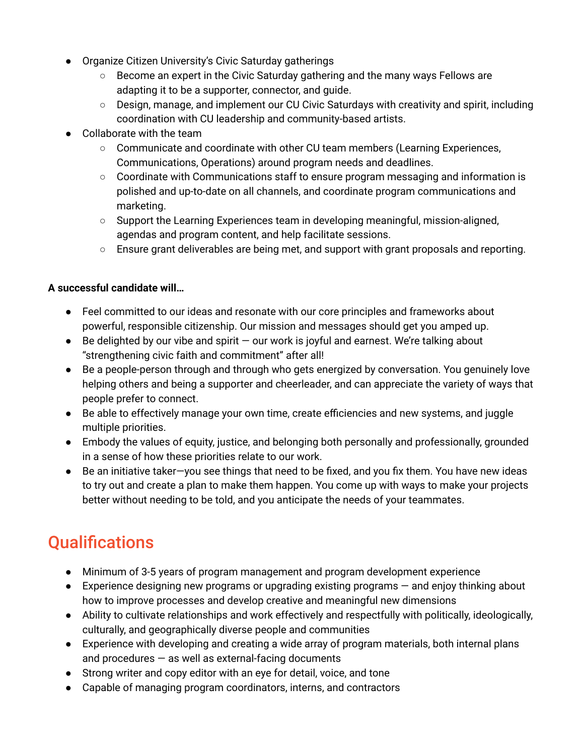- Organize Citizen University's Civic Saturday gatherings
	- Become an expert in the Civic Saturday gathering and the many ways Fellows are adapting it to be a supporter, connector, and guide.
	- Design, manage, and implement our CU Civic Saturdays with creativity and spirit, including coordination with CU leadership and community-based artists.
- **●** Collaborate with the team
	- Communicate and coordinate with other CU team members (Learning Experiences, Communications, Operations) around program needs and deadlines.
	- Coordinate with Communications staff to ensure program messaging and information is polished and up-to-date on all channels, and coordinate program communications and marketing.
	- Support the Learning Experiences team in developing meaningful, mission-aligned, agendas and program content, and help facilitate sessions.
	- **○** Ensure grant deliverables are being met, and support with grant proposals and reporting.

#### **A successful candidate will…**

- Feel committed to our ideas and resonate with our core principles and frameworks about powerful, responsible citizenship. Our mission and messages should get you amped up.
- $\bullet$  Be delighted by our vibe and spirit  $-$  our work is joyful and earnest. We're talking about "strengthening civic faith and commitment" after all!
- Be a people-person through and through who gets energized by conversation. You genuinely love helping others and being a supporter and cheerleader, and can appreciate the variety of ways that people prefer to connect.
- Be able to effectively manage your own time, create efficiencies and new systems, and juggle multiple priorities.
- Embody the values of equity, justice, and belonging both personally and professionally, grounded in a sense of how these priorities relate to our work.
- Be an initiative taker-you see things that need to be fixed, and you fix them. You have new ideas to try out and create a plan to make them happen. You come up with ways to make your projects better without needing to be told, and you anticipate the needs of your teammates.

### **Qualifications**

- Minimum of 3-5 years of program management and program development experience
- $\bullet$  Experience designing new programs or upgrading existing programs  $-$  and enjoy thinking about how to improve processes and develop creative and meaningful new dimensions
- Ability to cultivate relationships and work effectively and respectfully with politically, ideologically, culturally, and geographically diverse people and communities
- Experience with developing and creating a wide array of program materials, both internal plans and procedures  $-$  as well as external-facing documents
- Strong writer and copy editor with an eye for detail, voice, and tone
- Capable of managing program coordinators, interns, and contractors